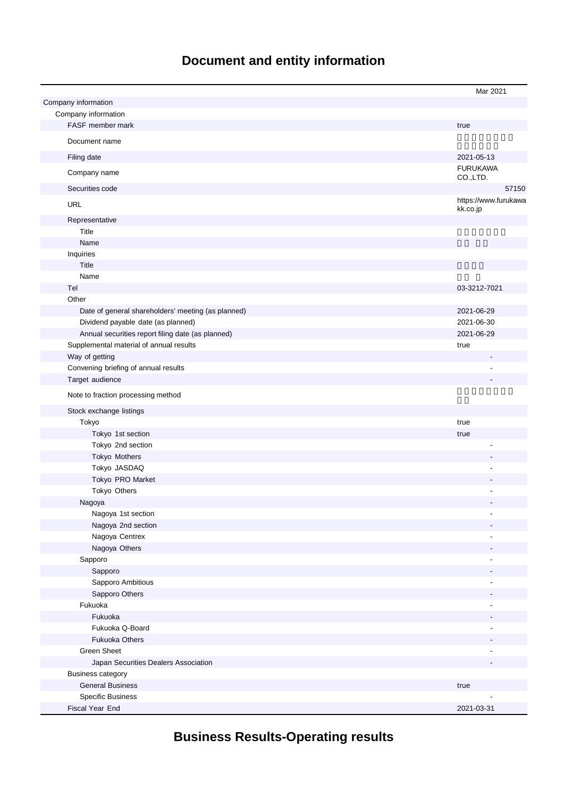# **Document and entity information**

|                                                    | Mar 2021                         |
|----------------------------------------------------|----------------------------------|
| Company information                                |                                  |
| Company information                                |                                  |
| FASF member mark                                   | true                             |
|                                                    |                                  |
| Document name                                      |                                  |
| Filing date                                        | 2021-05-13                       |
| Company name                                       | <b>FURUKAWA</b><br>CO.,LTD.      |
| Securities code                                    | 57150                            |
| <b>URL</b>                                         | https://www.furukawa<br>kk.co.jp |
| Representative                                     |                                  |
| Title                                              |                                  |
| Name                                               |                                  |
| Inquiries                                          |                                  |
| Title                                              |                                  |
| Name                                               |                                  |
| Tel                                                | 03-3212-7021                     |
| Other                                              |                                  |
| Date of general shareholders' meeting (as planned) | 2021-06-29                       |
| Dividend payable date (as planned)                 | 2021-06-30                       |
| Annual securities report filing date (as planned)  | 2021-06-29                       |
| Supplemental material of annual results            | true                             |
| Way of getting                                     |                                  |
| Convening briefing of annual results               |                                  |
| Target audience                                    |                                  |
|                                                    |                                  |
| Note to fraction processing method                 |                                  |
| Stock exchange listings                            |                                  |
| Tokyo                                              | true                             |
| Tokyo 1st section                                  | true                             |
| Tokyo 2nd section                                  |                                  |
| Tokyo Mothers                                      |                                  |
| Tokyo JASDAQ                                       |                                  |
| Tokyo PRO Market                                   |                                  |
| Tokyo Others                                       |                                  |
| Nagoya                                             |                                  |
| Nagoya 1st section                                 |                                  |
| Nagoya 2nd section                                 |                                  |
| Nagoya Centrex                                     |                                  |
| Nagoya Others                                      |                                  |
| Sapporo                                            |                                  |
| Sapporo                                            |                                  |
| Sapporo Ambitious                                  |                                  |
|                                                    |                                  |
| Sapporo Others                                     |                                  |
| Fukuoka<br>Fukuoka                                 |                                  |
|                                                    |                                  |
| Fukuoka Q-Board                                    |                                  |
| <b>Fukuoka Others</b>                              |                                  |
| <b>Green Sheet</b>                                 |                                  |
| Japan Securities Dealers Association               |                                  |
| <b>Business category</b>                           |                                  |
| <b>General Business</b>                            | true                             |
| <b>Specific Business</b>                           |                                  |
| Fiscal Year End                                    | 2021-03-31                       |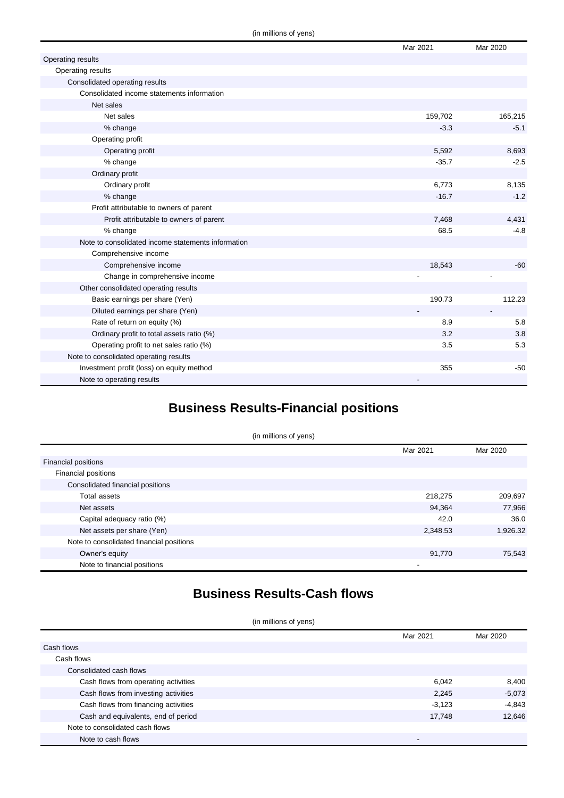|                                                    | Mar 2021 | Mar 2020 |
|----------------------------------------------------|----------|----------|
| Operating results                                  |          |          |
| Operating results                                  |          |          |
| Consolidated operating results                     |          |          |
| Consolidated income statements information         |          |          |
| Net sales                                          |          |          |
| Net sales                                          | 159,702  | 165,215  |
| % change                                           | $-3.3$   | $-5.1$   |
| Operating profit                                   |          |          |
| Operating profit                                   | 5,592    | 8,693    |
| % change                                           | $-35.7$  | $-2.5$   |
| Ordinary profit                                    |          |          |
| Ordinary profit                                    | 6,773    | 8,135    |
| % change                                           | $-16.7$  | $-1.2$   |
| Profit attributable to owners of parent            |          |          |
| Profit attributable to owners of parent            | 7,468    | 4,431    |
| % change                                           | 68.5     | $-4.8$   |
| Note to consolidated income statements information |          |          |
| Comprehensive income                               |          |          |
| Comprehensive income                               | 18,543   | $-60$    |
| Change in comprehensive income                     |          |          |
| Other consolidated operating results               |          |          |
| Basic earnings per share (Yen)                     | 190.73   | 112.23   |
| Diluted earnings per share (Yen)                   |          |          |
| Rate of return on equity (%)                       | 8.9      | 5.8      |
| Ordinary profit to total assets ratio (%)          | 3.2      | 3.8      |
| Operating profit to net sales ratio (%)            | 3.5      | 5.3      |
| Note to consolidated operating results             |          |          |
| Investment profit (loss) on equity method          | 355      | $-50$    |
| Note to operating results                          |          |          |

# **Business Results-Financial positions**

| (in millions of yens)                    |          |          |  |
|------------------------------------------|----------|----------|--|
|                                          | Mar 2021 | Mar 2020 |  |
| <b>Financial positions</b>               |          |          |  |
| Financial positions                      |          |          |  |
| Consolidated financial positions         |          |          |  |
| Total assets                             | 218,275  | 209,697  |  |
| Net assets                               | 94,364   | 77,966   |  |
| Capital adequacy ratio (%)               | 42.0     | 36.0     |  |
| Net assets per share (Yen)               | 2,348.53 | 1,926.32 |  |
| Note to consolidated financial positions |          |          |  |
| Owner's equity                           | 91,770   | 75,543   |  |
| Note to financial positions              |          |          |  |

## **Business Results-Cash flows**

(in millions of yens)

|                                      | Mar 2021 | Mar 2020 |
|--------------------------------------|----------|----------|
| Cash flows                           |          |          |
| Cash flows                           |          |          |
| Consolidated cash flows              |          |          |
| Cash flows from operating activities | 6,042    | 8,400    |
| Cash flows from investing activities | 2,245    | $-5,073$ |
| Cash flows from financing activities | $-3,123$ | $-4,843$ |
| Cash and equivalents, end of period  | 17.748   | 12.646   |
| Note to consolidated cash flows      |          |          |
| Note to cash flows                   |          |          |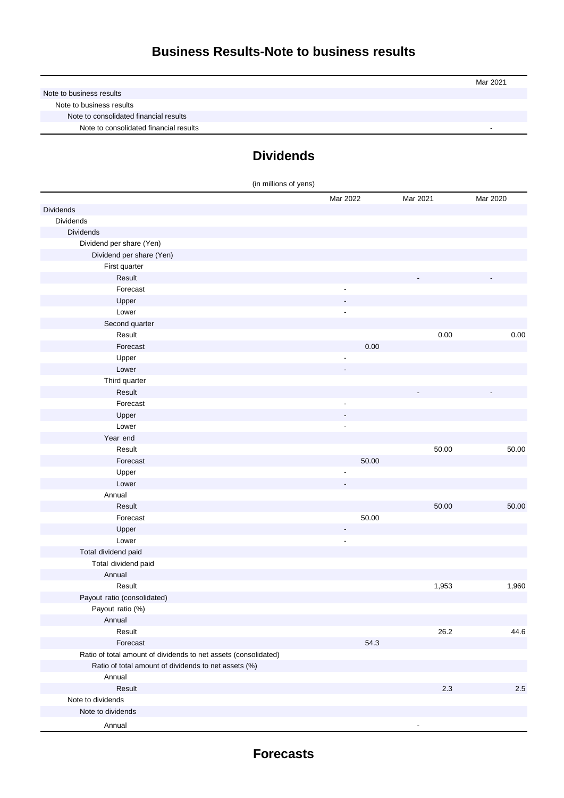|                                        | Mar 2021 |
|----------------------------------------|----------|
| Note to business results               |          |
| Note to business results               |          |
| Note to consolidated financial results |          |
| Note to consolidated financial results |          |

# **Dividends**

| (in millions of yens)                                           |                          |          |          |
|-----------------------------------------------------------------|--------------------------|----------|----------|
|                                                                 | Mar 2022                 | Mar 2021 | Mar 2020 |
| Dividends                                                       |                          |          |          |
| Dividends                                                       |                          |          |          |
| <b>Dividends</b>                                                |                          |          |          |
| Dividend per share (Yen)                                        |                          |          |          |
| Dividend per share (Yen)                                        |                          |          |          |
| First quarter                                                   |                          |          |          |
| Result                                                          |                          |          |          |
| Forecast                                                        |                          |          |          |
| Upper                                                           |                          |          |          |
| Lower                                                           | $\overline{\phantom{a}}$ |          |          |
| Second quarter                                                  |                          |          |          |
| Result                                                          |                          | 0.00     | 0.00     |
| Forecast                                                        | 0.00                     |          |          |
| Upper                                                           |                          |          |          |
| Lower                                                           |                          |          |          |
| Third quarter                                                   |                          |          |          |
| Result                                                          |                          |          |          |
| Forecast                                                        | $\overline{\phantom{a}}$ |          |          |
| Upper                                                           |                          |          |          |
| Lower                                                           | $\overline{\phantom{a}}$ |          |          |
| Year end                                                        |                          |          |          |
| Result                                                          |                          | 50.00    | 50.00    |
| Forecast                                                        | 50.00                    |          |          |
| Upper                                                           | ÷,                       |          |          |
| Lower                                                           |                          |          |          |
| Annual                                                          |                          |          |          |
| Result                                                          |                          | 50.00    | 50.00    |
| Forecast                                                        | 50.00                    |          |          |
| Upper                                                           |                          |          |          |
| Lower                                                           | $\overline{a}$           |          |          |
| Total dividend paid                                             |                          |          |          |
| Total dividend paid                                             |                          |          |          |
| Annual                                                          |                          |          |          |
| Result                                                          |                          | 1,953    | 1,960    |
| Payout ratio (consolidated)                                     |                          |          |          |
| Payout ratio (%)                                                |                          |          |          |
| Annual                                                          |                          |          |          |
| Result                                                          |                          | 26.2     | 44.6     |
| Forecast                                                        | 54.3                     |          |          |
| Ratio of total amount of dividends to net assets (consolidated) |                          |          |          |
| Ratio of total amount of dividends to net assets (%)            |                          |          |          |
| Annual                                                          |                          |          |          |
| Result                                                          |                          | $2.3\,$  | 2.5      |
| Note to dividends                                               |                          |          |          |
| Note to dividends                                               |                          |          |          |
| Annual                                                          |                          |          |          |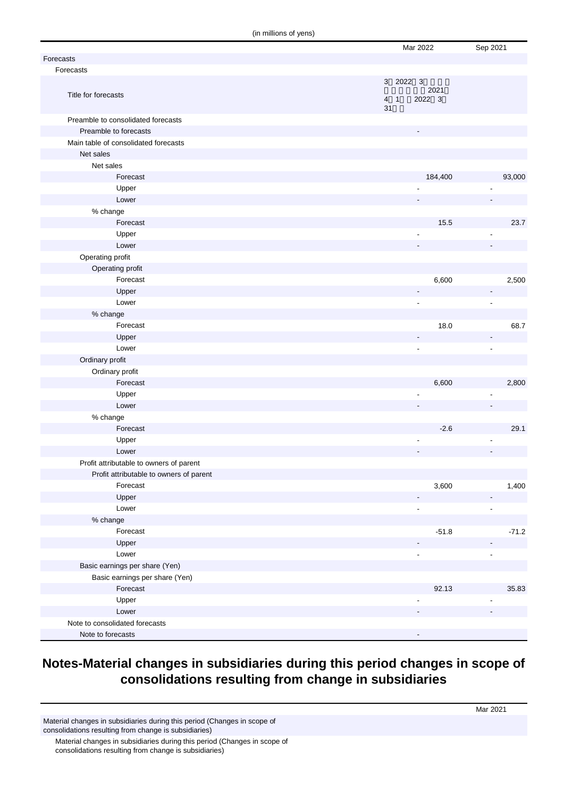(in millions of yens)

|                                         | Mar 2022              | Sep 2021                 |
|-----------------------------------------|-----------------------|--------------------------|
| Forecasts                               |                       |                          |
| Forecasts                               |                       |                          |
|                                         | 3 2022 3<br>2021      |                          |
| Title for forecasts                     | 2022 3<br>$4 \quad 1$ |                          |
|                                         | 31                    |                          |
| Preamble to consolidated forecasts      |                       |                          |
| Preamble to forecasts                   |                       |                          |
| Main table of consolidated forecasts    |                       |                          |
| Net sales                               |                       |                          |
| Net sales                               |                       |                          |
| Forecast                                | 184,400               | 93,000                   |
| Upper                                   |                       |                          |
| Lower                                   |                       |                          |
| % change                                |                       |                          |
| Forecast                                | 15.5                  | 23.7                     |
| Upper                                   | $\blacksquare$        |                          |
| Lower                                   |                       |                          |
| Operating profit                        |                       |                          |
| Operating profit                        |                       |                          |
| Forecast                                | 6,600                 | 2,500                    |
| Upper                                   |                       | $\overline{\phantom{a}}$ |
| Lower                                   | $\tilde{\phantom{a}}$ | ä,                       |
| % change                                |                       |                          |
| Forecast                                | 18.0                  | 68.7                     |
| Upper                                   |                       |                          |
| Lower                                   | $\tilde{\phantom{a}}$ | $\overline{a}$           |
| Ordinary profit                         |                       |                          |
| Ordinary profit                         |                       |                          |
| Forecast                                | 6,600                 | 2,800                    |
| Upper                                   |                       |                          |
| Lower                                   |                       |                          |
| % change                                |                       |                          |
| Forecast                                | $-2.6$                | 29.1                     |
| Upper                                   |                       |                          |
| Lower                                   |                       |                          |
| Profit attributable to owners of parent |                       |                          |
| Profit attributable to owners of parent |                       |                          |
| Forecast                                | 3,600                 | 1,400                    |
| Upper                                   |                       |                          |
| Lower                                   | ÷,                    |                          |
| % change                                |                       |                          |
| Forecast                                | $-51.8$               | $-71.2$                  |
| Upper                                   |                       |                          |
| Lower                                   |                       |                          |
| Basic earnings per share (Yen)          |                       |                          |
| Basic earnings per share (Yen)          |                       |                          |
| Forecast                                | 92.13                 | 35.83                    |
| Upper                                   |                       |                          |
| Lower                                   |                       |                          |
| Note to consolidated forecasts          |                       |                          |
| Note to forecasts                       |                       |                          |

#### **Notes-Material changes in subsidiaries during this period changes in scope of consolidations resulting from change in subsidiaries**

Material changes in subsidiaries during this period (Changes in scope of consolidations resulting from change is subsidiaries)

Material changes in subsidiaries during this period (Changes in scope of consolidations resulting from change is subsidiaries)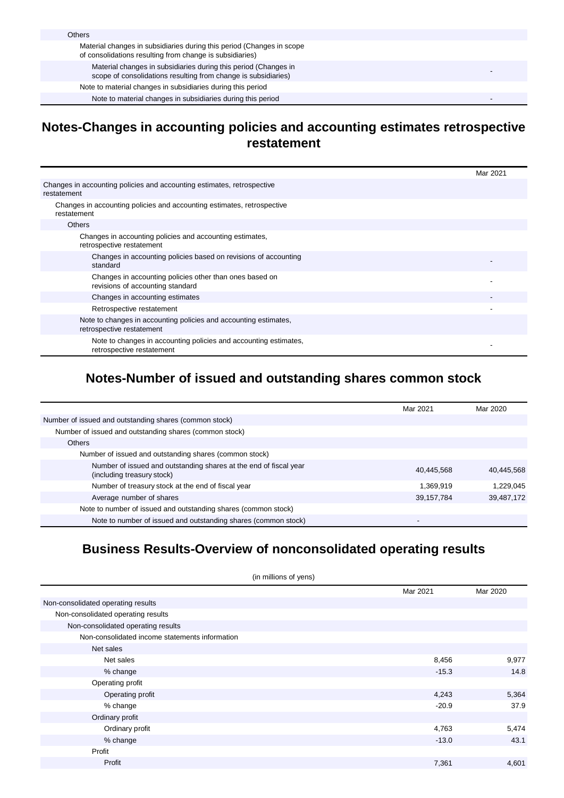#### **Notes-Changes in accounting policies and accounting estimates retrospective restatement**

|                                                                                               | Mar 2021 |
|-----------------------------------------------------------------------------------------------|----------|
| Changes in accounting policies and accounting estimates, retrospective<br>restatement         |          |
| Changes in accounting policies and accounting estimates, retrospective<br>restatement         |          |
| <b>Others</b>                                                                                 |          |
| Changes in accounting policies and accounting estimates,<br>retrospective restatement         |          |
| Changes in accounting policies based on revisions of accounting<br>standard                   |          |
| Changes in accounting policies other than ones based on<br>revisions of accounting standard   |          |
| Changes in accounting estimates                                                               |          |
| Retrospective restatement                                                                     |          |
| Note to changes in accounting policies and accounting estimates,<br>retrospective restatement |          |
| Note to changes in accounting policies and accounting estimates,<br>retrospective restatement |          |

## **Notes-Number of issued and outstanding shares common stock**

|                                                                                                 | Mar 2021   | Mar 2020   |
|-------------------------------------------------------------------------------------------------|------------|------------|
| Number of issued and outstanding shares (common stock)                                          |            |            |
| Number of issued and outstanding shares (common stock)                                          |            |            |
| Others                                                                                          |            |            |
| Number of issued and outstanding shares (common stock)                                          |            |            |
| Number of issued and outstanding shares at the end of fiscal year<br>(including treasury stock) | 40.445.568 | 40,445,568 |
| Number of treasury stock at the end of fiscal year                                              | 1,369,919  | 1,229,045  |
| Average number of shares                                                                        | 39,157,784 | 39,487,172 |
| Note to number of issued and outstanding shares (common stock)                                  |            |            |
| Note to number of issued and outstanding shares (common stock)                                  | ۰          |            |

#### **Business Results-Overview of nonconsolidated operating results**

| (in millions of yens)                          |  |          |          |
|------------------------------------------------|--|----------|----------|
|                                                |  | Mar 2021 | Mar 2020 |
| Non-consolidated operating results             |  |          |          |
| Non-consolidated operating results             |  |          |          |
| Non-consolidated operating results             |  |          |          |
| Non-consolidated income statements information |  |          |          |
| Net sales                                      |  |          |          |
| Net sales                                      |  | 8,456    | 9,977    |
| % change                                       |  | $-15.3$  | 14.8     |
| Operating profit                               |  |          |          |
| Operating profit                               |  | 4,243    | 5,364    |
| % change                                       |  | $-20.9$  | 37.9     |
| Ordinary profit                                |  |          |          |
| Ordinary profit                                |  | 4,763    | 5,474    |
| % change                                       |  | $-13.0$  | 43.1     |
| Profit                                         |  |          |          |
| Profit                                         |  | 7,361    | 4,601    |
|                                                |  |          |          |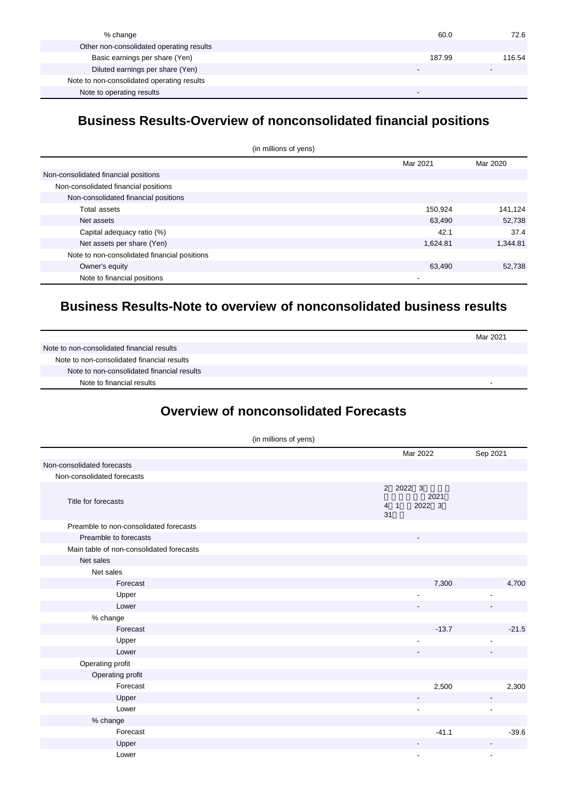| % change                                   | 60.0   | 72.6   |
|--------------------------------------------|--------|--------|
| Other non-consolidated operating results   |        |        |
| Basic earnings per share (Yen)             | 187.99 | 116.54 |
| Diluted earnings per share (Yen)           |        |        |
| Note to non-consolidated operating results |        |        |
| Note to operating results                  |        |        |

#### **Business Results-Overview of nonconsolidated financial positions**

| (in millions of yens)                        |          |          |  |
|----------------------------------------------|----------|----------|--|
|                                              | Mar 2021 | Mar 2020 |  |
| Non-consolidated financial positions         |          |          |  |
| Non-consolidated financial positions         |          |          |  |
| Non-consolidated financial positions         |          |          |  |
| Total assets                                 | 150.924  | 141,124  |  |
| Net assets                                   | 63,490   | 52,738   |  |
| Capital adequacy ratio (%)                   | 42.1     | 37.4     |  |
| Net assets per share (Yen)                   | 1,624.81 | 1,344.81 |  |
| Note to non-consolidated financial positions |          |          |  |
| Owner's equity                               | 63,490   | 52,738   |  |
| Note to financial positions                  |          |          |  |

#### **Business Results-Note to overview of nonconsolidated business results**

|                                            | Mar 2021 |
|--------------------------------------------|----------|
| Note to non-consolidated financial results |          |
| Note to non-consolidated financial results |          |
| Note to non-consolidated financial results |          |
| Note to financial results                  |          |

## **Overview of nonconsolidated Forecasts**

|                                          | (in millions of yens) |                                                    |          |
|------------------------------------------|-----------------------|----------------------------------------------------|----------|
|                                          |                       | Mar 2022                                           | Sep 2021 |
| Non-consolidated forecasts               |                       |                                                    |          |
| Non-consolidated forecasts               |                       |                                                    |          |
| Title for forecasts                      |                       | 2 2022 3<br>2021<br>2022 3<br>4 <sub>1</sub><br>31 |          |
| Preamble to non-consolidated forecasts   |                       |                                                    |          |
| Preamble to forecasts                    |                       |                                                    |          |
| Main table of non-consolidated forecasts |                       |                                                    |          |
| Net sales                                |                       |                                                    |          |
| Net sales                                |                       |                                                    |          |
| Forecast                                 |                       | 7,300                                              | 4,700    |
| Upper                                    |                       |                                                    |          |
| Lower                                    |                       |                                                    |          |
| % change                                 |                       |                                                    |          |
| Forecast                                 |                       | $-13.7$                                            | $-21.5$  |
| Upper                                    |                       | ٠                                                  |          |
| Lower                                    |                       |                                                    |          |
| Operating profit                         |                       |                                                    |          |
| Operating profit                         |                       |                                                    |          |
| Forecast                                 |                       | 2,500                                              | 2,300    |
| Upper                                    |                       |                                                    |          |
| Lower                                    |                       |                                                    |          |
| % change                                 |                       |                                                    |          |
| Forecast                                 |                       | $-41.1$                                            | $-39.6$  |
| Upper                                    |                       |                                                    |          |
| Lower                                    |                       |                                                    |          |